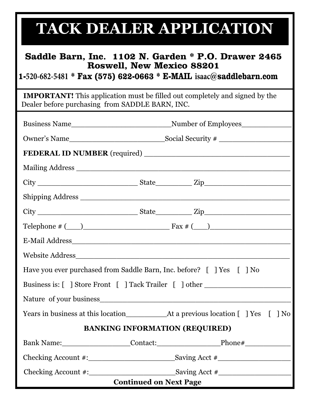## **TACK DEALER APPLICATION**

## **Saddle Barn, Inc. 1102 N. Garden \* P.O. Drawer 2465 Roswell, New Mexico 88201**

**1-520-682-5481 \* Fax (575) 622-0663 \* E-MAIL isaac@saddlebarn.com**

 **IMPORTANT!** This application must be filled out completely and signed by the Dealer before purchasing from SADDLE BARN, INC.

| Have you ever purchased from Saddle Barn, Inc. before? [ ] Yes [ ] No            |  |  |
|----------------------------------------------------------------------------------|--|--|
| Business is: [ ] Store Front [ ] Tack Trailer [ ] other ________________________ |  |  |
|                                                                                  |  |  |
|                                                                                  |  |  |
| <b>BANKING INFORMATION (REQUIRED)</b>                                            |  |  |
|                                                                                  |  |  |
|                                                                                  |  |  |
|                                                                                  |  |  |
| <b>Continued on Next Page</b>                                                    |  |  |